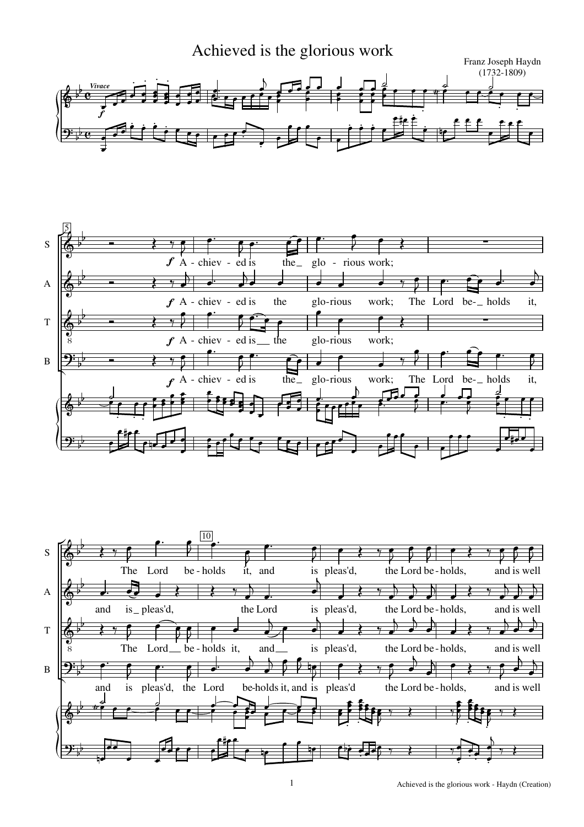



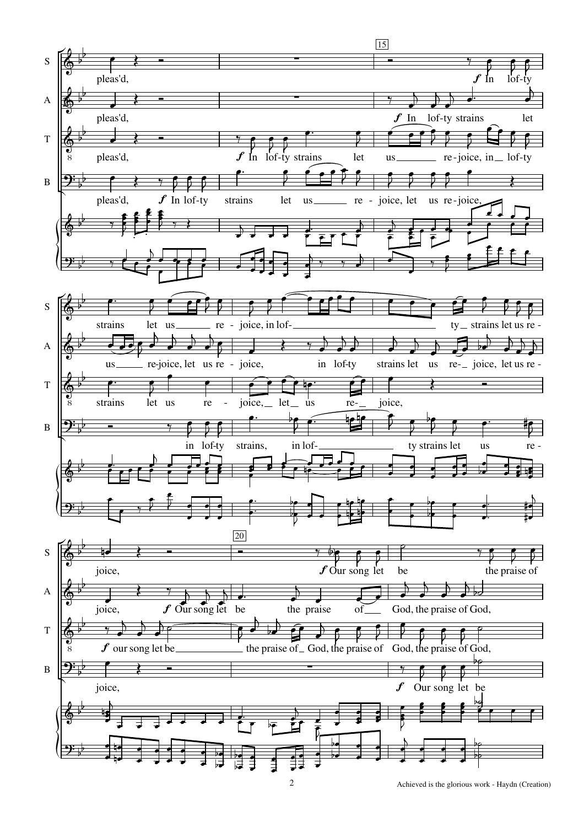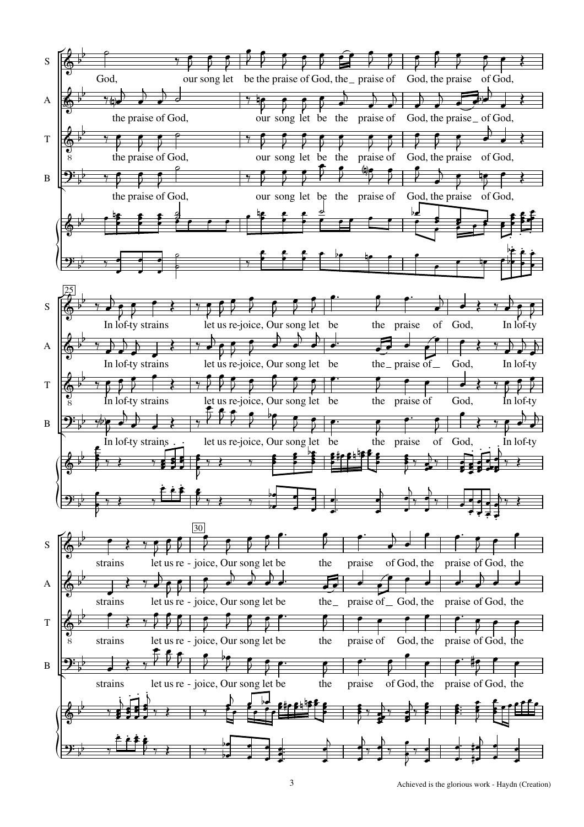